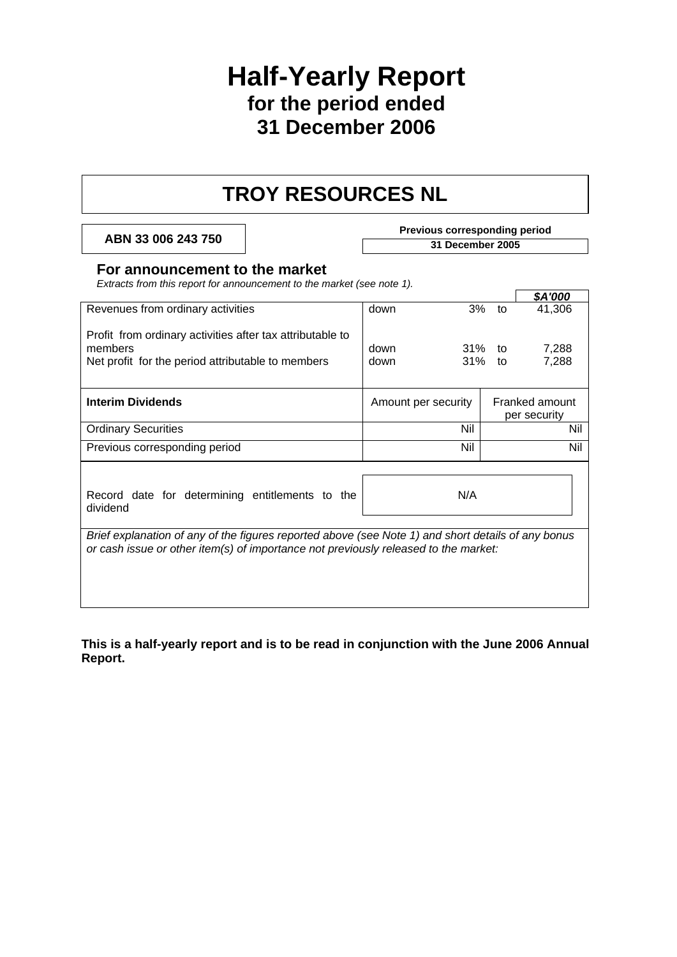# **Half-Yearly Report for the period ended 31 December 2006**

# **TROY RESOURCES NL**

**Previous corresponding period**<br> **Previous corresponding period**<br>
31 December 2005

# **For announcement to the market**

*Extracts from this report for announcement to the market (see note 1).* 

|                                                                                                                                                                                           |                     |               |    | \$A'000                        |
|-------------------------------------------------------------------------------------------------------------------------------------------------------------------------------------------|---------------------|---------------|----|--------------------------------|
| Revenues from ordinary activities                                                                                                                                                         | down                | 3%            | to | 41,306                         |
| Profit from ordinary activities after tax attributable to<br>members<br>Net profit for the period attributable to members                                                                 | down<br>down        | 31%<br>31% to | to | 7,288<br>7,288                 |
| <b>Interim Dividends</b>                                                                                                                                                                  | Amount per security |               |    | Franked amount<br>per security |
| <b>Ordinary Securities</b>                                                                                                                                                                |                     | Nil           |    | Nil                            |
| Previous corresponding period                                                                                                                                                             |                     | Nil           |    | Nil                            |
| Record date for determining entitlements to the<br>dividend                                                                                                                               |                     | N/A           |    |                                |
| Brief explanation of any of the figures reported above (see Note 1) and short details of any bonus<br>or cash issue or other item(s) of importance not previously released to the market: |                     |               |    |                                |

**This is a half-yearly report and is to be read in conjunction with the June 2006 Annual Report.**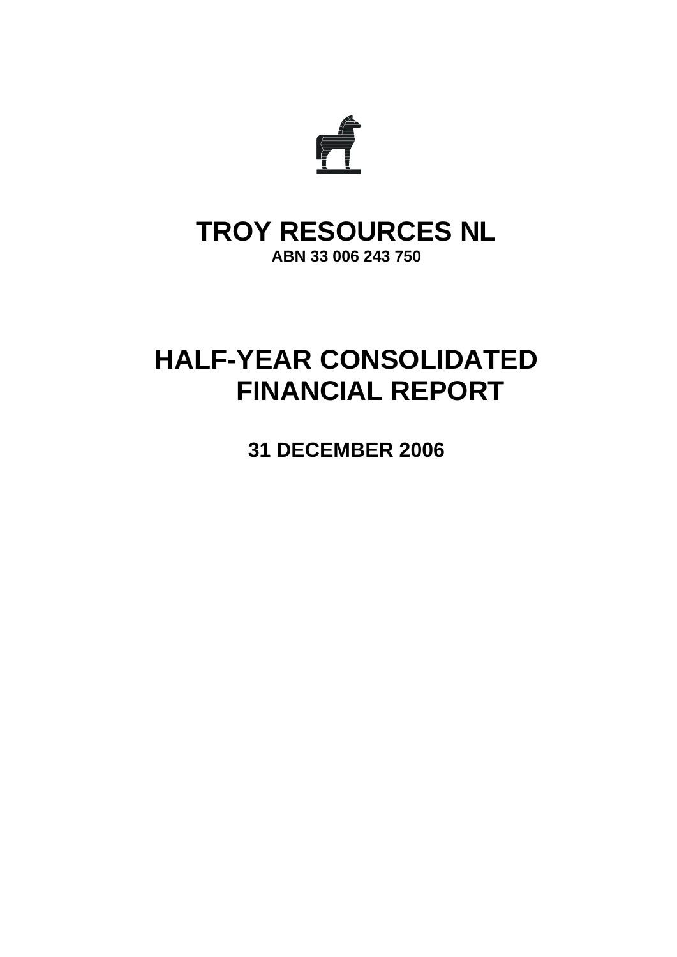

# **TROY RESOURCES NL ABN 33 006 243 750**

# **HALF-YEAR CONSOLIDATED FINANCIAL REPORT**

**31 DECEMBER 2006**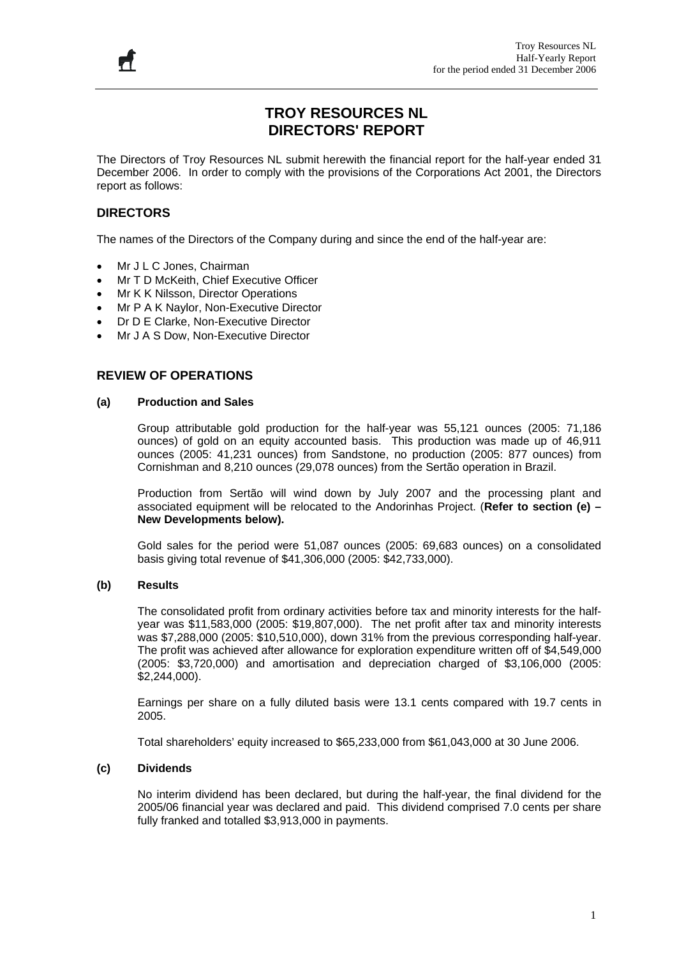# **TROY RESOURCES NL DIRECTORS' REPORT**

The Directors of Troy Resources NL submit herewith the financial report for the half-year ended 31 December 2006. In order to comply with the provisions of the Corporations Act 2001, the Directors report as follows:

# **DIRECTORS**

Ħ

The names of the Directors of the Company during and since the end of the half-year are:

- Mr J L C Jones, Chairman
- Mr T D McKeith, Chief Executive Officer
- Mr K K Nilsson, Director Operations
- Mr P A K Naylor, Non-Executive Director
- Dr D E Clarke, Non-Executive Director
- Mr J A S Dow, Non-Executive Director

### **REVIEW OF OPERATIONS**

#### **(a) Production and Sales**

Group attributable gold production for the half-year was 55,121 ounces (2005: 71,186 ounces) of gold on an equity accounted basis. This production was made up of 46,911 ounces (2005: 41,231 ounces) from Sandstone, no production (2005: 877 ounces) from Cornishman and 8,210 ounces (29,078 ounces) from the Sertão operation in Brazil.

Production from Sertão will wind down by July 2007 and the processing plant and associated equipment will be relocated to the Andorinhas Project. (**Refer to section (e) – New Developments below).** 

Gold sales for the period were 51,087 ounces (2005: 69,683 ounces) on a consolidated basis giving total revenue of \$41,306,000 (2005: \$42,733,000).

#### **(b) Results**

The consolidated profit from ordinary activities before tax and minority interests for the halfyear was \$11,583,000 (2005: \$19,807,000). The net profit after tax and minority interests was \$7,288,000 (2005: \$10,510,000), down 31% from the previous corresponding half-year. The profit was achieved after allowance for exploration expenditure written off of \$4,549,000 (2005: \$3,720,000) and amortisation and depreciation charged of \$3,106,000 (2005: \$2,244,000).

Earnings per share on a fully diluted basis were 13.1 cents compared with 19.7 cents in 2005.

Total shareholders' equity increased to \$65,233,000 from \$61,043,000 at 30 June 2006.

#### **(c) Dividends**

No interim dividend has been declared, but during the half-year, the final dividend for the 2005/06 financial year was declared and paid. This dividend comprised 7.0 cents per share fully franked and totalled \$3,913,000 in payments.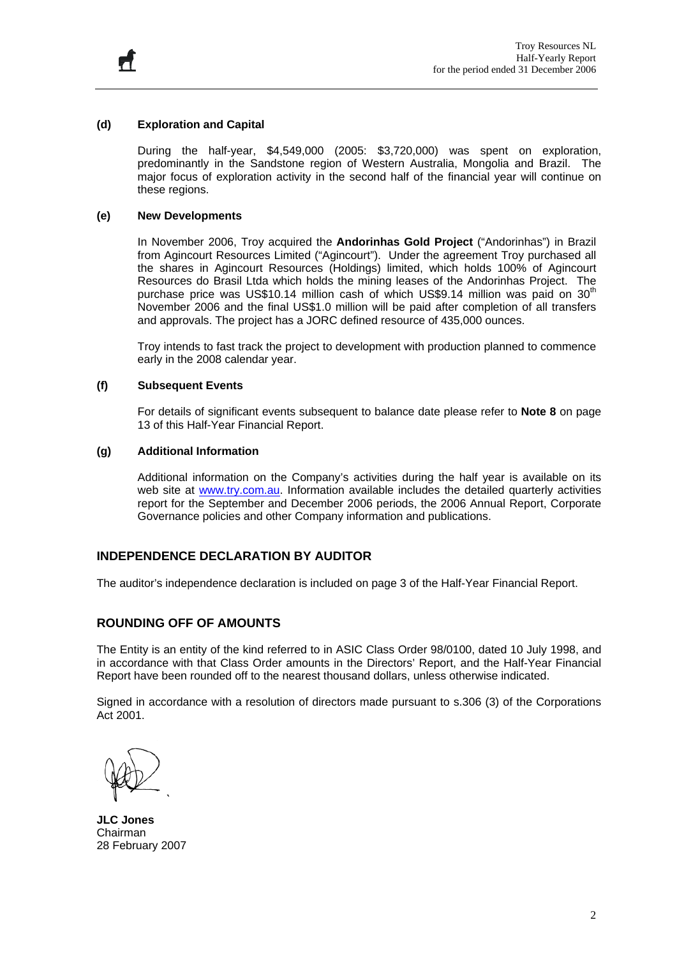

Ħ

During the half-year, \$4,549,000 (2005: \$3,720,000) was spent on exploration, predominantly in the Sandstone region of Western Australia, Mongolia and Brazil. The major focus of exploration activity in the second half of the financial year will continue on these regions.

#### **(e) New Developments**

In November 2006, Troy acquired the **Andorinhas Gold Project** ("Andorinhas") in Brazil from Agincourt Resources Limited ("Agincourt"). Under the agreement Troy purchased all the shares in Agincourt Resources (Holdings) limited, which holds 100% of Agincourt Resources do Brasil Ltda which holds the mining leases of the Andorinhas Project. The purchase price was US\$10.14 million cash of which US\$9.14 million was paid on  $30<sup>th</sup>$ November 2006 and the final US\$1.0 million will be paid after completion of all transfers and approvals. The project has a JORC defined resource of 435,000 ounces.

Troy intends to fast track the project to development with production planned to commence early in the 2008 calendar year.

#### **(f) Subsequent Events**

For details of significant events subsequent to balance date please refer to **Note 8** on page 13 of this Half-Year Financial Report.

#### **(g) Additional Information**

Additional information on the Company's activities during the half year is available on its web site at [www.try.com.au](http://www.try.com.au/). Information available includes the detailed quarterly activities report for the September and December 2006 periods, the 2006 Annual Report, Corporate Governance policies and other Company information and publications.

#### **INDEPENDENCE DECLARATION BY AUDITOR**

The auditor's independence declaration is included on page 3 of the Half-Year Financial Report.

#### **ROUNDING OFF OF AMOUNTS**

The Entity is an entity of the kind referred to in ASIC Class Order 98/0100, dated 10 July 1998, and in accordance with that Class Order amounts in the Directors' Report, and the Half-Year Financial Report have been rounded off to the nearest thousand dollars, unless otherwise indicated.

Signed in accordance with a resolution of directors made pursuant to s.306 (3) of the Corporations Act 2001.

**JLC Jones**  Chairman 28 February 2007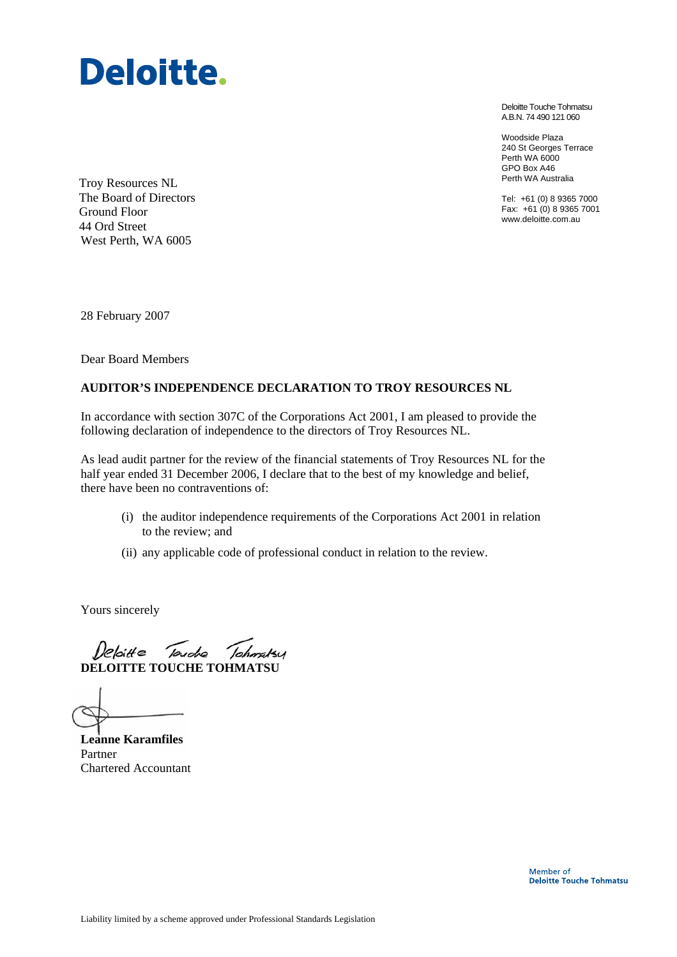

Deloitte Touche Tohmatsu A.B.N. 74 490 121 060

Woodside Plaza 240 St Georges Terrace Perth WA 6000 GPO Box A46 Perth WA Australia

Tel: +61 (0) 8 9365 7000 Fax: +61 (0) 8 9365 7001 www.deloitte.com.au

Troy Resources NL The Board of Directors Ground Floor 44 Ord Street West Perth, WA 6005

28 February 2007

Dear Board Members

#### **AUDITOR'S INDEPENDENCE DECLARATION TO TROY RESOURCES NL**

In accordance with section 307C of the Corporations Act 2001, I am pleased to provide the following declaration of independence to the directors of Troy Resources NL.

As lead audit partner for the review of the financial statements of Troy Resources NL for the half year ended 31 December 2006, I declare that to the best of my knowledge and belief, there have been no contraventions of:

- (i) the auditor independence requirements of the Corporations Act 2001 in relation to the review; and
- (ii) any applicable code of professional conduct in relation to the review.

Yours sincerely

Deloitte Touche Tohmstey **DELOITTE TOUCHE TOHMATSU** 

**Leanne Karamfiles**  Partner Chartered Accountant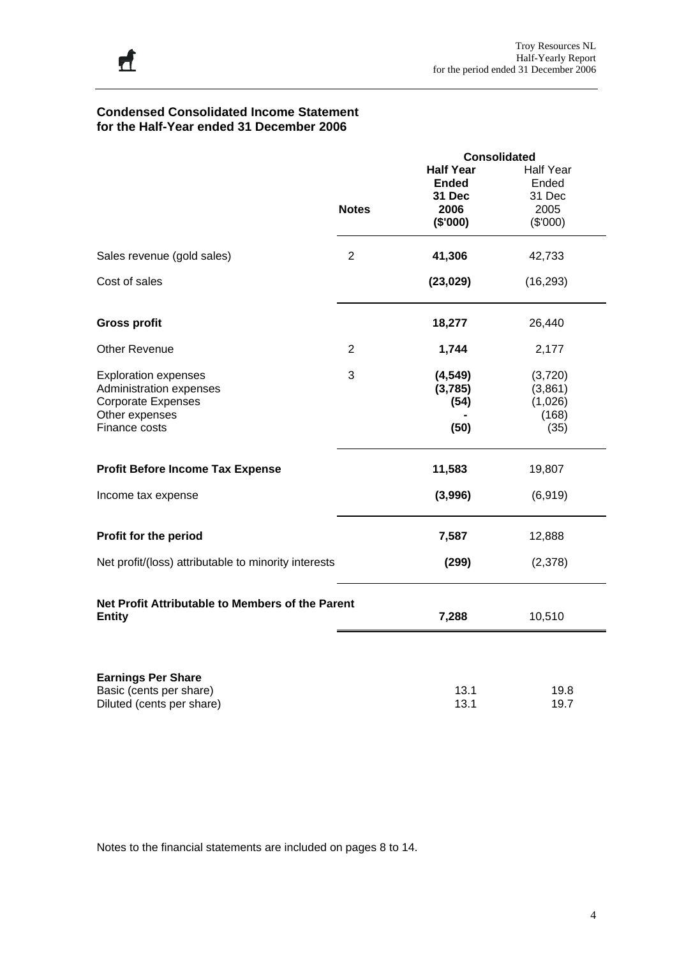#### **Condensed Consolidated Income Statement for the Half-Year ended 31 December 2006**

|                                                      |                | <b>Consolidated</b> |                  |
|------------------------------------------------------|----------------|---------------------|------------------|
|                                                      |                | <b>Half Year</b>    | <b>Half Year</b> |
|                                                      |                | <b>Ended</b>        | Ended            |
|                                                      |                | 31 Dec              | 31 Dec           |
|                                                      | <b>Notes</b>   | 2006                | 2005             |
|                                                      |                | (\$'000)            | (\$'000)         |
|                                                      |                |                     |                  |
| Sales revenue (gold sales)                           | $\overline{2}$ | 41,306              | 42,733           |
| Cost of sales                                        |                | (23, 029)           | (16, 293)        |
| <b>Gross profit</b>                                  |                | 18,277              | 26,440           |
| <b>Other Revenue</b>                                 | $\overline{2}$ | 1,744               | 2,177            |
| <b>Exploration expenses</b>                          | 3              | (4, 549)            | (3,720)          |
| Administration expenses                              |                | (3,785)             | (3,861)          |
| <b>Corporate Expenses</b>                            |                | (54)                | (1,026)          |
| Other expenses                                       |                |                     | (168)            |
| Finance costs                                        |                | (50)                | (35)             |
| <b>Profit Before Income Tax Expense</b>              |                | 11,583              | 19,807           |
| Income tax expense                                   |                | (3,996)             | (6, 919)         |
| Profit for the period                                |                | 7,587               | 12,888           |
| Net profit/(loss) attributable to minority interests |                | (299)               | (2,378)          |
| Net Profit Attributable to Members of the Parent     |                |                     |                  |
| <b>Entity</b>                                        |                | 7,288               | 10,510           |
|                                                      |                |                     |                  |
| <b>Earnings Per Share</b>                            |                |                     |                  |
| Basic (cents per share)                              |                | 13.1                | 19.8             |
| Diluted (cents per share)                            |                | 13.1                | 19.7             |

Notes to the financial statements are included on pages 8 to 14.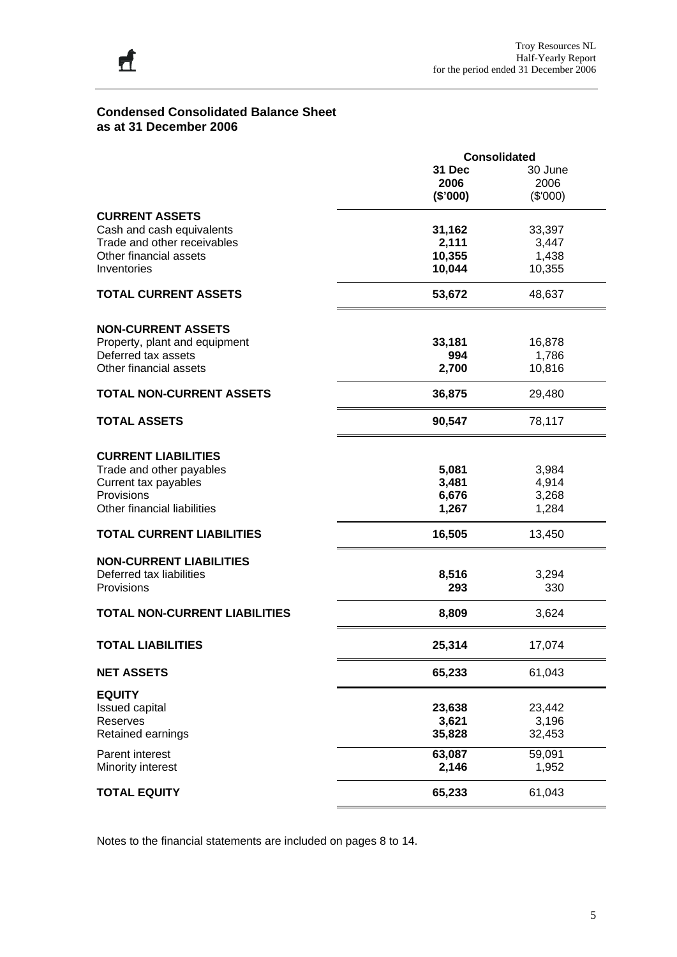# **Condensed Consolidated Balance Sheet as at 31 December 2006**

丘

|                                      | <b>Consolidated</b> |          |  |  |
|--------------------------------------|---------------------|----------|--|--|
|                                      | 31 Dec              | 30 June  |  |  |
|                                      | 2006                | 2006     |  |  |
|                                      | (\$'000)            | (\$'000) |  |  |
| <b>CURRENT ASSETS</b>                |                     |          |  |  |
| Cash and cash equivalents            | 31,162              | 33,397   |  |  |
| Trade and other receivables          | 2,111               | 3,447    |  |  |
| Other financial assets               | 10,355              | 1,438    |  |  |
| Inventories                          | 10,044              |          |  |  |
|                                      |                     | 10,355   |  |  |
| <b>TOTAL CURRENT ASSETS</b>          | 53,672              | 48,637   |  |  |
| <b>NON-CURRENT ASSETS</b>            |                     |          |  |  |
|                                      |                     |          |  |  |
| Property, plant and equipment        | 33,181              | 16,878   |  |  |
| Deferred tax assets                  | 994                 | 1,786    |  |  |
| Other financial assets               | 2,700               | 10,816   |  |  |
| <b>TOTAL NON-CURRENT ASSETS</b>      | 36,875              | 29,480   |  |  |
| <b>TOTAL ASSETS</b>                  | 90,547              | 78,117   |  |  |
|                                      |                     |          |  |  |
| <b>CURRENT LIABILITIES</b>           |                     |          |  |  |
| Trade and other payables             | 5,081               | 3,984    |  |  |
| Current tax payables                 | 3,481               | 4,914    |  |  |
| Provisions                           | 6,676               | 3,268    |  |  |
| Other financial liabilities          | 1,267               | 1,284    |  |  |
| <b>TOTAL CURRENT LIABILITIES</b>     | 16,505              | 13,450   |  |  |
| <b>NON-CURRENT LIABILITIES</b>       |                     |          |  |  |
| Deferred tax liabilities             | 8,516               | 3,294    |  |  |
|                                      |                     |          |  |  |
| Provisions                           | 293                 | 330      |  |  |
| <b>TOTAL NON-CURRENT LIABILITIES</b> | 8,809               | 3,624    |  |  |
| <b>TOTAL LIABILITIES</b>             | 25,314              | 17,074   |  |  |
| <b>NET ASSETS</b>                    | 65,233              | 61,043   |  |  |
| <b>EQUITY</b>                        |                     |          |  |  |
| <b>Issued capital</b>                | 23,638              | 23,442   |  |  |
| Reserves                             | 3,621               | 3,196    |  |  |
| Retained earnings                    | 35,828              | 32,453   |  |  |
| Parent interest                      | 63,087              | 59,091   |  |  |
| Minority interest                    | 2,146               | 1,952    |  |  |
| <b>TOTAL EQUITY</b>                  | 65,233              | 61,043   |  |  |

Notes to the financial statements are included on pages 8 to 14.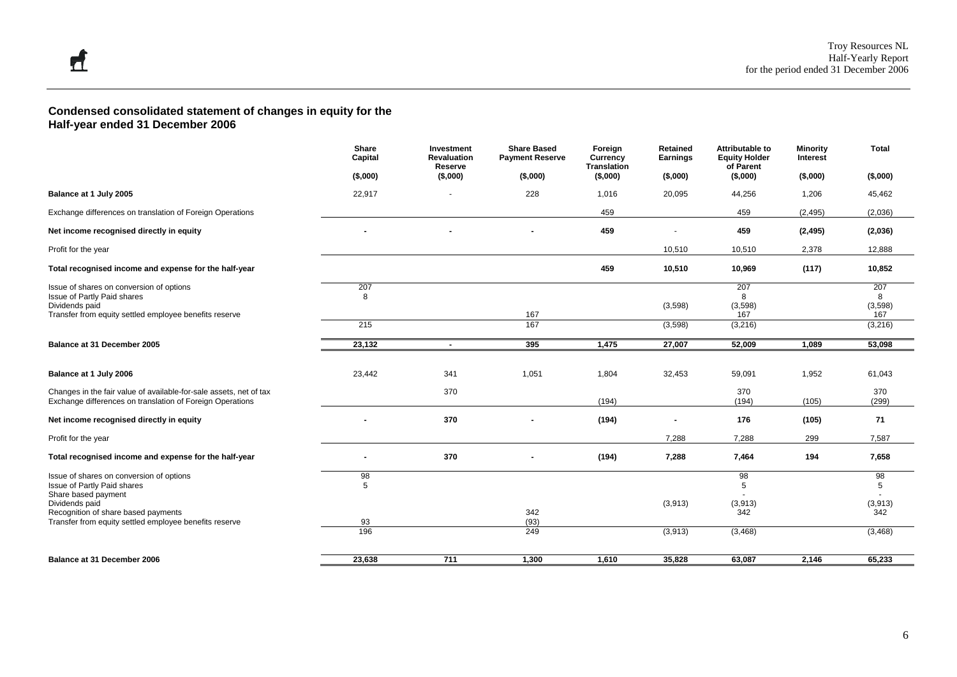#### **Condensed consolidated statement of changes in equity for the Half-year ended 31 December 2006**

|                                                                                                                                 | Share<br>Capital | Investment<br><b>Revaluation</b><br>Reserve | <b>Share Based</b><br><b>Payment Reserve</b> | Foreign<br>Currency<br><b>Translation</b> | Retained<br>Earnings     | Attributable to<br><b>Equity Holder</b><br>of Parent | <b>Minority</b><br>Interest | <b>Total</b>   |
|---------------------------------------------------------------------------------------------------------------------------------|------------------|---------------------------------------------|----------------------------------------------|-------------------------------------------|--------------------------|------------------------------------------------------|-----------------------------|----------------|
|                                                                                                                                 | (\$,000)         | (\$,000)                                    | (\$,000)                                     | (\$,000)                                  | $($ \$,000)              | $($ \$,000)                                          | ( \$,000)                   | (\$,000)       |
| Balance at 1 July 2005                                                                                                          | 22,917           |                                             | 228                                          | 1,016                                     | 20,095                   | 44,256                                               | 1,206                       | 45,462         |
| Exchange differences on translation of Foreign Operations                                                                       |                  |                                             |                                              | 459                                       |                          | 459                                                  | (2, 495)                    | (2,036)        |
| Net income recognised directly in equity                                                                                        |                  |                                             |                                              | 459                                       | $\overline{\phantom{a}}$ | 459                                                  | (2, 495)                    | (2,036)        |
| Profit for the year                                                                                                             |                  |                                             |                                              |                                           | 10,510                   | 10,510                                               | 2,378                       | 12,888         |
| Total recognised income and expense for the half-year                                                                           |                  |                                             |                                              | 459                                       | 10,510                   | 10,969                                               | (117)                       | 10,852         |
| Issue of shares on conversion of options<br>Issue of Partly Paid shares                                                         | 207<br>8         |                                             |                                              |                                           |                          | 207<br>8                                             |                             | 207<br>8       |
| Dividends paid<br>Transfer from equity settled employee benefits reserve                                                        |                  |                                             | 167                                          |                                           | (3,598)                  | (3,598)<br>167                                       |                             | (3,598)<br>167 |
|                                                                                                                                 | 215              |                                             | 167                                          |                                           | (3,598)                  | (3,216)                                              |                             | (3,216)        |
| Balance at 31 December 2005                                                                                                     | 23,132           | $\sim$                                      | 395                                          | 1,475                                     | 27,007                   | 52,009                                               | 1,089                       | 53,098         |
|                                                                                                                                 |                  |                                             |                                              |                                           |                          |                                                      |                             |                |
| Balance at 1 July 2006                                                                                                          | 23,442           | 341                                         | 1,051                                        | 1,804                                     | 32,453                   | 59,091                                               | 1,952                       | 61,043         |
| Changes in the fair value of available-for-sale assets, net of tax<br>Exchange differences on translation of Foreign Operations |                  | 370                                         |                                              | (194)                                     |                          | 370<br>(194)                                         | (105)                       | 370<br>(299)   |
| Net income recognised directly in equity                                                                                        |                  | 370                                         |                                              | (194)                                     | $\blacksquare$           | 176                                                  | (105)                       | 71             |
| Profit for the year                                                                                                             |                  |                                             |                                              |                                           | 7,288                    | 7,288                                                | 299                         | 7,587          |
| Total recognised income and expense for the half-year                                                                           |                  | 370                                         |                                              | (194)                                     | 7,288                    | 7,464                                                | 194                         | 7,658          |
| Issue of shares on conversion of options                                                                                        | 98<br>5          |                                             |                                              |                                           |                          | 98<br>5                                              |                             | 98<br>5        |
| Issue of Partly Paid shares<br>Share based payment                                                                              |                  |                                             |                                              |                                           |                          |                                                      |                             |                |
| Dividends paid<br>Recognition of share based payments                                                                           |                  |                                             |                                              |                                           | (3,913)                  | (3,913)<br>342                                       |                             | (3,913)<br>342 |
| Transfer from equity settled employee benefits reserve                                                                          | 93               |                                             | 342<br>(93)                                  |                                           |                          |                                                      |                             |                |
|                                                                                                                                 | 196              |                                             | 249                                          |                                           | (3,913)                  | (3, 468)                                             |                             | (3, 468)       |
| Balance at 31 December 2006                                                                                                     | 23,638           | 711                                         | 1,300                                        | 1,610                                     | 35,828                   | 63,087                                               | 2,146                       | 65,233         |
|                                                                                                                                 |                  |                                             |                                              |                                           |                          |                                                      |                             |                |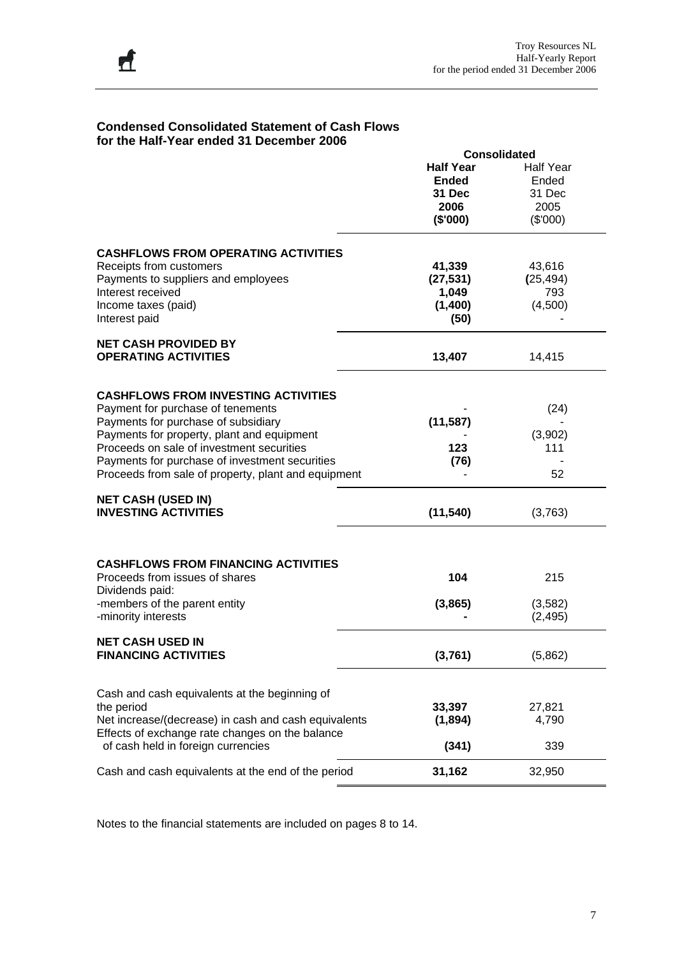| for the Half-Year ended 31 December 2006                                                              |                     |                  |  |  |  |
|-------------------------------------------------------------------------------------------------------|---------------------|------------------|--|--|--|
|                                                                                                       | <b>Consolidated</b> |                  |  |  |  |
|                                                                                                       | <b>Half Year</b>    | <b>Half Year</b> |  |  |  |
|                                                                                                       | <b>Ended</b>        | Ended            |  |  |  |
|                                                                                                       | 31 Dec              | 31 Dec           |  |  |  |
|                                                                                                       | 2006                | 2005             |  |  |  |
|                                                                                                       | (\$'000)            | (\$'000)         |  |  |  |
| <b>CASHFLOWS FROM OPERATING ACTIVITIES</b>                                                            |                     |                  |  |  |  |
| Receipts from customers                                                                               | 41,339              | 43,616           |  |  |  |
| Payments to suppliers and employees                                                                   | (27, 531)           | (25, 494)        |  |  |  |
| Interest received                                                                                     | 1,049               | 793              |  |  |  |
| Income taxes (paid)                                                                                   | (1,400)             | (4,500)          |  |  |  |
| Interest paid                                                                                         | (50)                |                  |  |  |  |
| <b>NET CASH PROVIDED BY</b>                                                                           |                     |                  |  |  |  |
| <b>OPERATING ACTIVITIES</b>                                                                           | 13,407              | 14,415           |  |  |  |
|                                                                                                       |                     |                  |  |  |  |
| <b>CASHFLOWS FROM INVESTING ACTIVITIES</b>                                                            |                     |                  |  |  |  |
| Payment for purchase of tenements<br>Payments for purchase of subsidiary                              |                     | (24)             |  |  |  |
|                                                                                                       | (11, 587)           |                  |  |  |  |
| Payments for property, plant and equipment<br>Proceeds on sale of investment securities               |                     | (3,902)          |  |  |  |
|                                                                                                       | 123                 | 111              |  |  |  |
| Payments for purchase of investment securities<br>Proceeds from sale of property, plant and equipment | (76)                | 52               |  |  |  |
| <b>NET CASH (USED IN)</b>                                                                             |                     |                  |  |  |  |
| <b>INVESTING ACTIVITIES</b>                                                                           | (11, 540)           | (3,763)          |  |  |  |
|                                                                                                       |                     |                  |  |  |  |
| <b>CASHFLOWS FROM FINANCING ACTIVITIES</b>                                                            |                     |                  |  |  |  |
| Proceeds from issues of shares                                                                        | 104                 | 215              |  |  |  |
| Dividends paid:                                                                                       |                     |                  |  |  |  |
| -members of the parent entity                                                                         | (3,865)             | (3,582)          |  |  |  |
| -minority interests                                                                                   |                     | (2, 495)         |  |  |  |
| <b>NET CASH USED IN</b><br><b>FINANCING ACTIVITIES</b>                                                | (3,761)             | (5,862)          |  |  |  |
|                                                                                                       |                     |                  |  |  |  |
| Cash and cash equivalents at the beginning of                                                         |                     |                  |  |  |  |
| the period                                                                                            | 33,397              | 27,821           |  |  |  |
| Net increase/(decrease) in cash and cash equivalents                                                  | (1,894)             | 4,790            |  |  |  |
| Effects of exchange rate changes on the balance                                                       |                     |                  |  |  |  |
| of cash held in foreign currencies                                                                    | (341)               | 339              |  |  |  |
| Cash and cash equivalents at the end of the period                                                    | 31,162              | 32,950           |  |  |  |

# **Condensed Consolidated Statement of Cash Flows**

Notes to the financial statements are included on pages 8 to 14.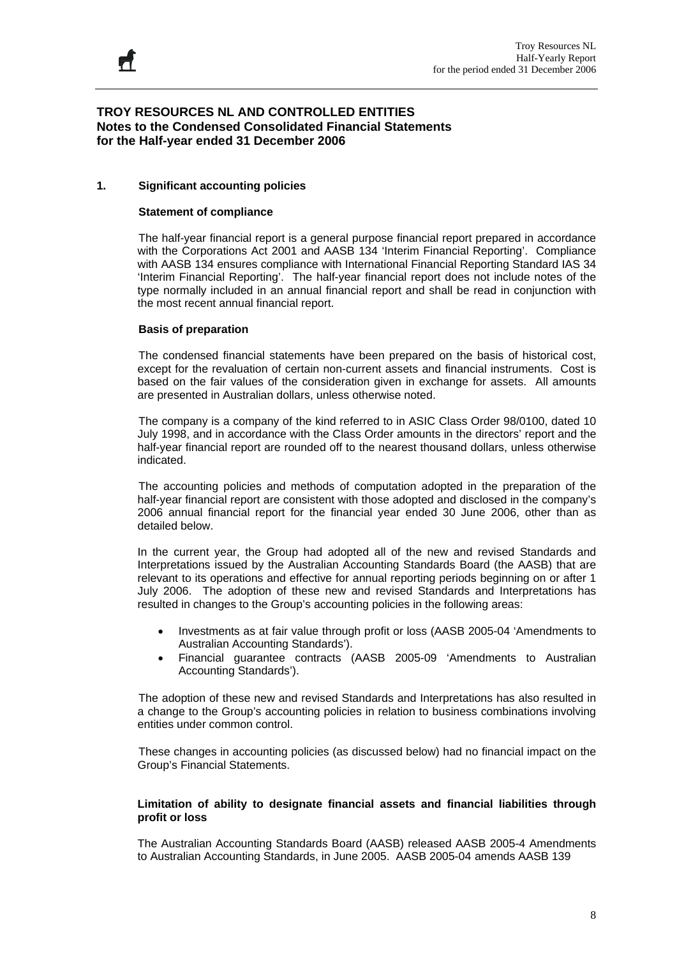#### **1. Significant accounting policies**

#### **Statement of compliance**

The half-year financial report is a general purpose financial report prepared in accordance with the Corporations Act 2001 and AASB 134 'Interim Financial Reporting'. Compliance with AASB 134 ensures compliance with International Financial Reporting Standard IAS 34 'Interim Financial Reporting'. The half-year financial report does not include notes of the type normally included in an annual financial report and shall be read in conjunction with the most recent annual financial report.

#### **Basis of preparation**

 The condensed financial statements have been prepared on the basis of historical cost, except for the revaluation of certain non-current assets and financial instruments. Cost is based on the fair values of the consideration given in exchange for assets. All amounts are presented in Australian dollars, unless otherwise noted.

 The company is a company of the kind referred to in ASIC Class Order 98/0100, dated 10 July 1998, and in accordance with the Class Order amounts in the directors' report and the half-year financial report are rounded off to the nearest thousand dollars, unless otherwise indicated.

 The accounting policies and methods of computation adopted in the preparation of the half-year financial report are consistent with those adopted and disclosed in the company's 2006 annual financial report for the financial year ended 30 June 2006, other than as detailed below.

In the current year, the Group had adopted all of the new and revised Standards and Interpretations issued by the Australian Accounting Standards Board (the AASB) that are relevant to its operations and effective for annual reporting periods beginning on or after 1 July 2006. The adoption of these new and revised Standards and Interpretations has resulted in changes to the Group's accounting policies in the following areas:

- Investments as at fair value through profit or loss (AASB 2005-04 'Amendments to Australian Accounting Standards').
- Financial guarantee contracts (AASB 2005-09 'Amendments to Australian Accounting Standards').

The adoption of these new and revised Standards and Interpretations has also resulted in a change to the Group's accounting policies in relation to business combinations involving entities under common control.

 These changes in accounting policies (as discussed below) had no financial impact on the Group's Financial Statements.

#### **Limitation of ability to designate financial assets and financial liabilities through profit or loss**

The Australian Accounting Standards Board (AASB) released AASB 2005-4 Amendments to Australian Accounting Standards, in June 2005. AASB 2005-04 amends AASB 139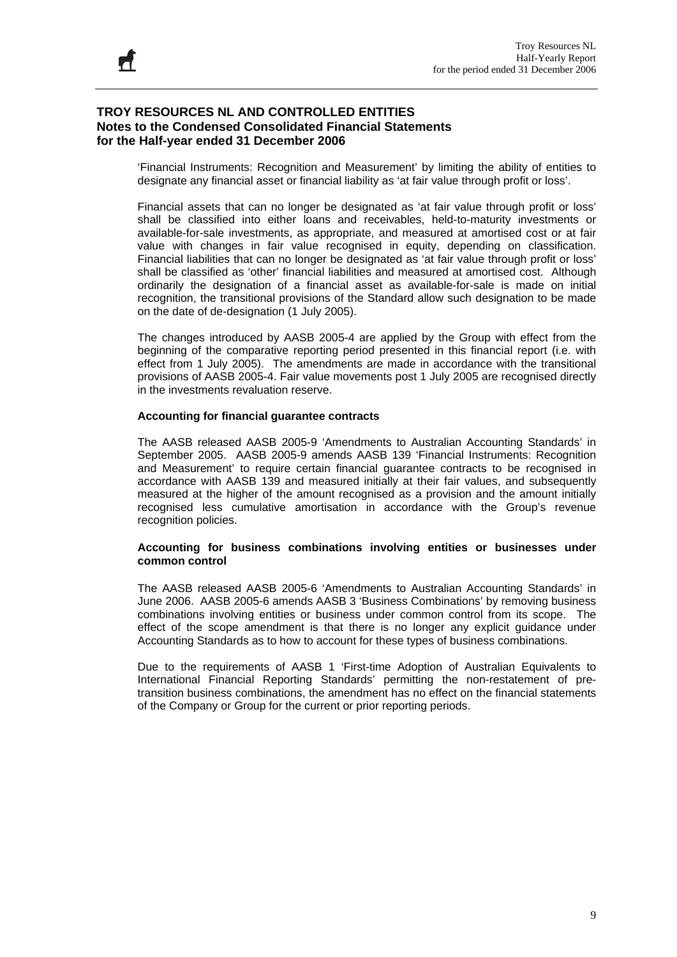'Financial Instruments: Recognition and Measurement' by limiting the ability of entities to designate any financial asset or financial liability as 'at fair value through profit or loss'.

Financial assets that can no longer be designated as 'at fair value through profit or loss' shall be classified into either loans and receivables, held-to-maturity investments or available-for-sale investments, as appropriate, and measured at amortised cost or at fair value with changes in fair value recognised in equity, depending on classification. Financial liabilities that can no longer be designated as 'at fair value through profit or loss' shall be classified as 'other' financial liabilities and measured at amortised cost. Although ordinarily the designation of a financial asset as available-for-sale is made on initial recognition, the transitional provisions of the Standard allow such designation to be made on the date of de-designation (1 July 2005).

The changes introduced by AASB 2005-4 are applied by the Group with effect from the beginning of the comparative reporting period presented in this financial report (i.e. with effect from 1 July 2005). The amendments are made in accordance with the transitional provisions of AASB 2005-4. Fair value movements post 1 July 2005 are recognised directly in the investments revaluation reserve.

#### **Accounting for financial guarantee contracts**

The AASB released AASB 2005-9 'Amendments to Australian Accounting Standards' in September 2005. AASB 2005-9 amends AASB 139 'Financial Instruments: Recognition and Measurement' to require certain financial guarantee contracts to be recognised in accordance with AASB 139 and measured initially at their fair values, and subsequently measured at the higher of the amount recognised as a provision and the amount initially recognised less cumulative amortisation in accordance with the Group's revenue recognition policies.

#### **Accounting for business combinations involving entities or businesses under common control**

The AASB released AASB 2005-6 'Amendments to Australian Accounting Standards' in June 2006. AASB 2005-6 amends AASB 3 'Business Combinations' by removing business combinations involving entities or business under common control from its scope. The effect of the scope amendment is that there is no longer any explicit guidance under Accounting Standards as to how to account for these types of business combinations.

Due to the requirements of AASB 1 'First-time Adoption of Australian Equivalents to International Financial Reporting Standards' permitting the non-restatement of pretransition business combinations, the amendment has no effect on the financial statements of the Company or Group for the current or prior reporting periods.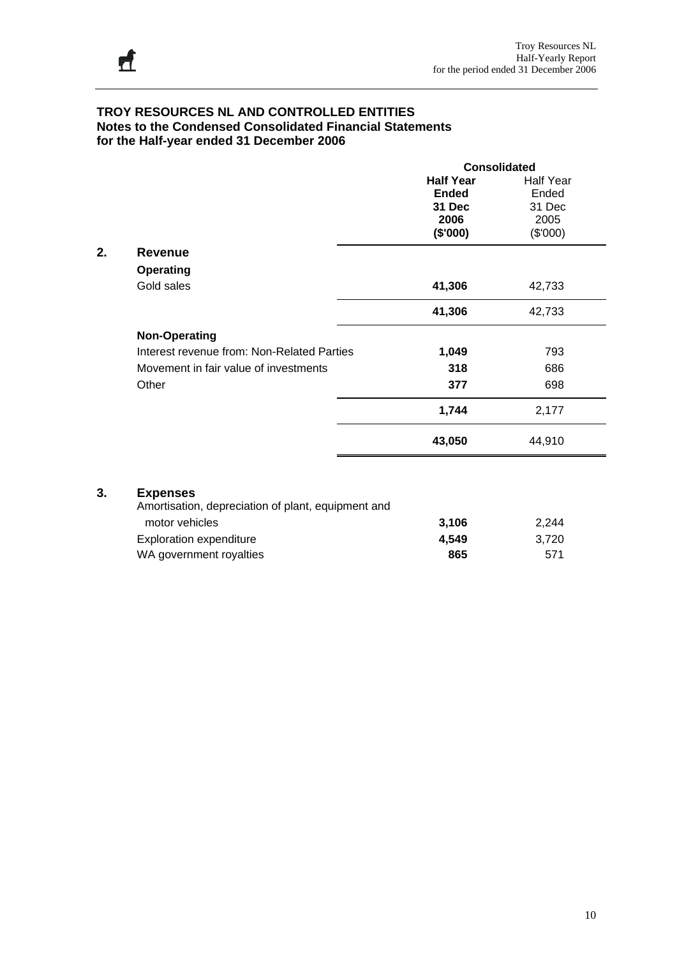|    |                                            | <b>Consolidated</b> |                  |  |
|----|--------------------------------------------|---------------------|------------------|--|
|    |                                            | <b>Half Year</b>    | <b>Half Year</b> |  |
|    |                                            | <b>Ended</b>        | Ended            |  |
|    |                                            | 31 Dec              | 31 Dec           |  |
|    |                                            | 2006                | 2005             |  |
|    |                                            | (\$'000)            | (\$'000)         |  |
| 2. | <b>Revenue</b>                             |                     |                  |  |
|    | <b>Operating</b>                           |                     |                  |  |
|    | Gold sales                                 | 41,306              | 42,733           |  |
|    |                                            | 41,306              | 42,733           |  |
|    | <b>Non-Operating</b>                       |                     |                  |  |
|    | Interest revenue from: Non-Related Parties | 1,049               | 793              |  |
|    | Movement in fair value of investments      | 318                 | 686              |  |
|    | Other                                      | 377                 | 698              |  |
|    |                                            | 1,744               | 2,177            |  |
|    |                                            | 43,050              | 44,910           |  |
|    |                                            |                     |                  |  |

# **3. Expenses**

| Amortisation, depreciation of plant, equipment and |       |       |
|----------------------------------------------------|-------|-------|
| motor vehicles                                     | 3.106 | 2.244 |
| Exploration expenditure                            | 4.549 | 3.720 |
| WA government royalties                            | 865   | 571   |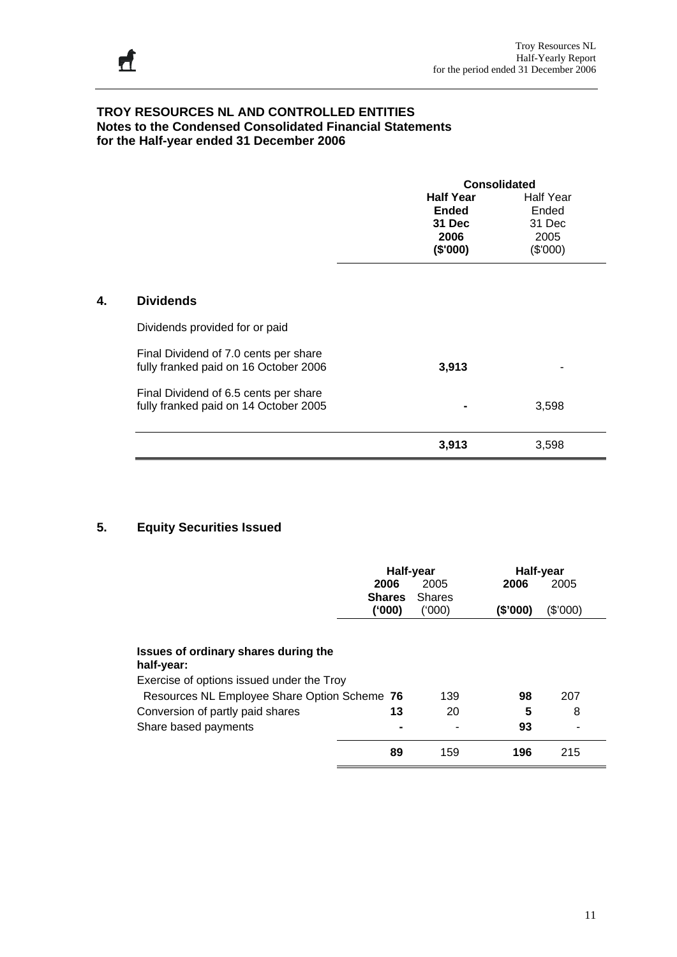|                                       | <b>Consolidated</b> |                  |
|---------------------------------------|---------------------|------------------|
|                                       | <b>Half Year</b>    | <b>Half Year</b> |
|                                       | <b>Ended</b>        | Ended            |
|                                       | 31 Dec              | 31 Dec           |
|                                       | 2006                | 2005             |
|                                       | (\$'000)            | (\$'000)         |
|                                       |                     |                  |
| <b>Dividends</b>                      |                     |                  |
| Dividends provided for or paid        |                     |                  |
| Final Dividend of 7.0 cents per share |                     |                  |
| fully franked paid on 16 October 2006 | 3,913               |                  |
| Final Dividend of 6.5 cents per share |                     |                  |
| fully franked paid on 14 October 2005 |                     | 3,598            |
|                                       | 3,913               | 3,598            |

# **5. Equity Securities Issued**

|                                                                                           | Half-year<br>2006<br><b>Shares</b> | 2005<br><b>Shares</b> | 2006     | Half-year<br>2005 |  |
|-------------------------------------------------------------------------------------------|------------------------------------|-----------------------|----------|-------------------|--|
|                                                                                           | ('000)                             | (000)                 | (\$'000) | (\$'000)          |  |
| Issues of ordinary shares during the<br>half-year:                                        |                                    |                       |          |                   |  |
| Exercise of options issued under the Troy<br>Resources NL Employee Share Option Scheme 76 |                                    | 139                   | 98       | 207               |  |
| Conversion of partly paid shares                                                          | 13                                 | 20                    | 5        | 8                 |  |
| Share based payments                                                                      |                                    |                       | 93       |                   |  |
|                                                                                           | 89                                 | 159                   | 196      | 215               |  |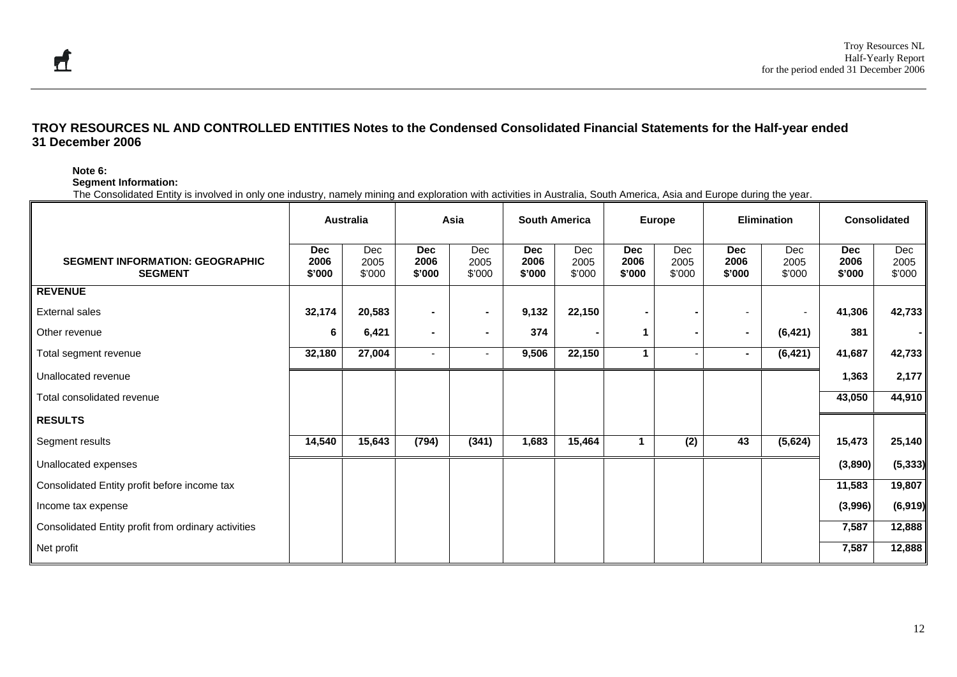#### **Note 6:**

**Segment Information:** 

The Consolidated Entity is involved in only one industry, namely mining and exploration with activities in Australia, South America, Asia and Europe during the year.

|                                                          |                              | <b>Australia</b>      |                              | Asia                  | <b>South America</b>         |                       |                              | Europe                   |                              | <b>Elimination</b>       |                              | <b>Consolidated</b>   |
|----------------------------------------------------------|------------------------------|-----------------------|------------------------------|-----------------------|------------------------------|-----------------------|------------------------------|--------------------------|------------------------------|--------------------------|------------------------------|-----------------------|
| <b>SEGMENT INFORMATION: GEOGRAPHIC</b><br><b>SEGMENT</b> | <b>Dec</b><br>2006<br>\$'000 | Dec<br>2005<br>\$'000 | <b>Dec</b><br>2006<br>\$'000 | Dec<br>2005<br>\$'000 | <b>Dec</b><br>2006<br>\$'000 | Dec<br>2005<br>\$'000 | <b>Dec</b><br>2006<br>\$'000 | Dec<br>2005<br>\$'000    | <b>Dec</b><br>2006<br>\$'000 | Dec<br>2005<br>\$'000    | <b>Dec</b><br>2006<br>\$'000 | Dec<br>2005<br>\$'000 |
| <b>REVENUE</b>                                           |                              |                       |                              |                       |                              |                       |                              |                          |                              |                          |                              |                       |
| <b>External sales</b>                                    | 32,174                       | 20,583                | $\blacksquare$               | $\sim$                | 9,132                        | 22,150                | $\sim$                       | $\blacksquare$           |                              | $\overline{\phantom{a}}$ | 41,306                       | 42,733                |
| Other revenue                                            | 6                            | 6,421                 | $\blacksquare$               | $\blacksquare$        | 374                          |                       | 1                            | $\blacksquare$           | $\blacksquare$               | (6, 421)                 | 381                          |                       |
| Total segment revenue                                    | 32,180                       | 27,004                |                              | ٠                     | 9,506                        | 22,150                | 1                            | $\overline{\phantom{a}}$ | $\sim$                       | (6, 421)                 | 41,687                       | 42,733                |
| Unallocated revenue                                      |                              |                       |                              |                       |                              |                       |                              |                          |                              |                          | 1,363                        | 2,177                 |
| Total consolidated revenue                               |                              |                       |                              |                       |                              |                       |                              |                          |                              |                          | 43,050                       | 44,910                |
| <b>RESULTS</b>                                           |                              |                       |                              |                       |                              |                       |                              |                          |                              |                          |                              |                       |
| Segment results                                          | 14,540                       | 15,643                | (794)                        | (341)                 | 1,683                        | 15,464                |                              | (2)                      | 43                           | (5,624)                  | 15,473                       | 25,140                |
| Unallocated expenses                                     |                              |                       |                              |                       |                              |                       |                              |                          |                              |                          | (3,890)                      | (5, 333)              |
| Consolidated Entity profit before income tax             |                              |                       |                              |                       |                              |                       |                              |                          |                              |                          | 11,583                       | 19,807                |
| Income tax expense                                       |                              |                       |                              |                       |                              |                       |                              |                          |                              |                          | (3,996)                      | (6, 919)              |
| Consolidated Entity profit from ordinary activities      |                              |                       |                              |                       |                              |                       |                              |                          |                              |                          | 7,587                        | 12,888                |
| Net profit                                               |                              |                       |                              |                       |                              |                       |                              |                          |                              |                          | 7,587                        | 12,888                |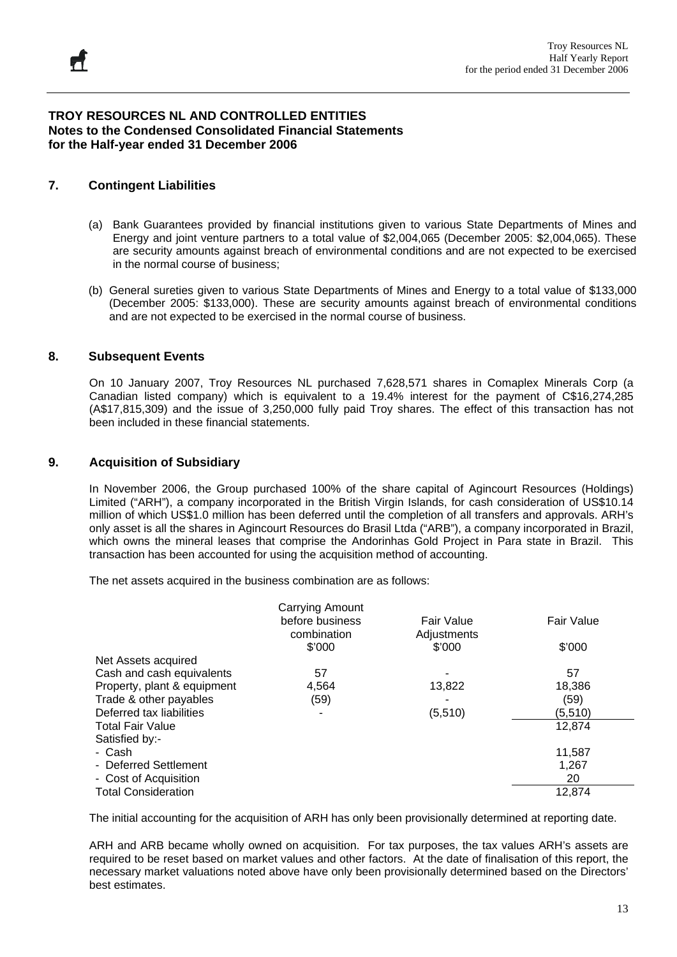# **7. Contingent Liabilities**

- (a) Bank Guarantees provided by financial institutions given to various State Departments of Mines and Energy and joint venture partners to a total value of \$2,004,065 (December 2005: \$2,004,065). These are security amounts against breach of environmental conditions and are not expected to be exercised in the normal course of business;
- (b) General sureties given to various State Departments of Mines and Energy to a total value of \$133,000 (December 2005: \$133,000). These are security amounts against breach of environmental conditions and are not expected to be exercised in the normal course of business.

### **8. Subsequent Events**

On 10 January 2007, Troy Resources NL purchased 7,628,571 shares in Comaplex Minerals Corp (a Canadian listed company) which is equivalent to a 19.4% interest for the payment of C\$16,274,285 (A\$17,815,309) and the issue of 3,250,000 fully paid Troy shares. The effect of this transaction has not been included in these financial statements.

### **9. Acquisition of Subsidiary**

In November 2006, the Group purchased 100% of the share capital of Agincourt Resources (Holdings) Limited ("ARH"), a company incorporated in the British Virgin Islands, for cash consideration of US\$10.14 million of which US\$1.0 million has been deferred until the completion of all transfers and approvals. ARH's only asset is all the shares in Agincourt Resources do Brasil Ltda ("ARB"), a company incorporated in Brazil, which owns the mineral leases that comprise the Andorinhas Gold Project in Para state in Brazil. This transaction has been accounted for using the acquisition method of accounting.

The net assets acquired in the business combination are as follows:

|                             | Carrying Amount |             |            |
|-----------------------------|-----------------|-------------|------------|
|                             | before business | Fair Value  | Fair Value |
|                             | combination     | Adjustments |            |
|                             | \$'000          | \$'000      | \$'000     |
| Net Assets acquired         |                 |             |            |
| Cash and cash equivalents   | 57              |             | 57         |
| Property, plant & equipment | 4.564           | 13,822      | 18,386     |
| Trade & other payables      | (59)            |             | (59)       |
| Deferred tax liabilities    | ۰               | (5, 510)    | (5,510)    |
| <b>Total Fair Value</b>     |                 |             | 12,874     |
| Satisfied by:-              |                 |             |            |
| - Cash                      |                 |             | 11,587     |
| - Deferred Settlement       |                 |             | 1,267      |
| - Cost of Acquisition       |                 |             | 20         |
| <b>Total Consideration</b>  |                 |             | 12.874     |

The initial accounting for the acquisition of ARH has only been provisionally determined at reporting date.

ARH and ARB became wholly owned on acquisition. For tax purposes, the tax values ARH's assets are required to be reset based on market values and other factors. At the date of finalisation of this report, the necessary market valuations noted above have only been provisionally determined based on the Directors' best estimates.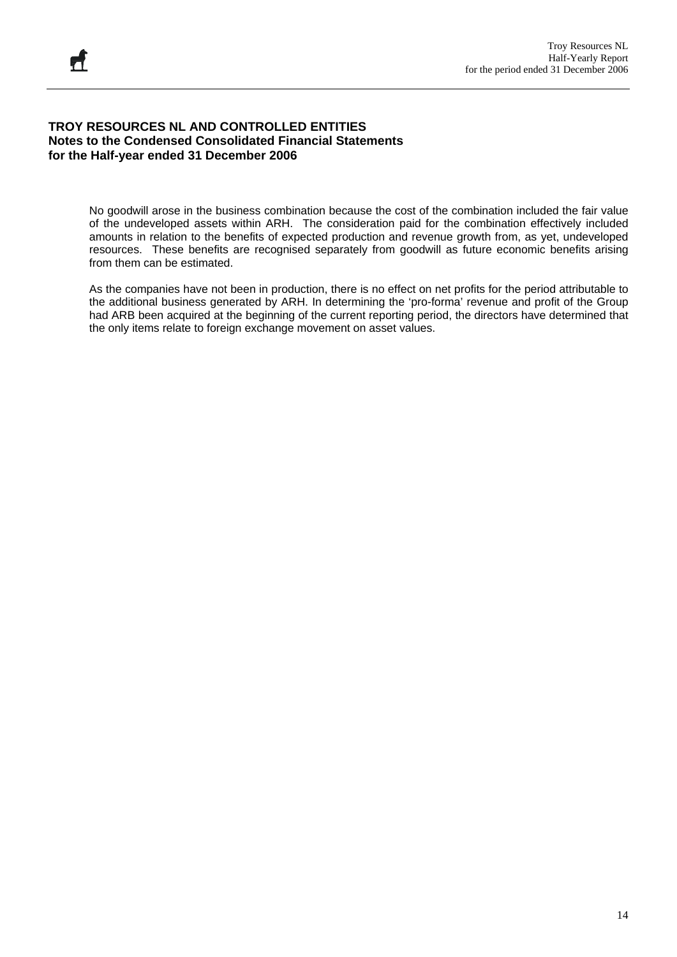No goodwill arose in the business combination because the cost of the combination included the fair value of the undeveloped assets within ARH. The consideration paid for the combination effectively included amounts in relation to the benefits of expected production and revenue growth from, as yet, undeveloped resources. These benefits are recognised separately from goodwill as future economic benefits arising from them can be estimated.

As the companies have not been in production, there is no effect on net profits for the period attributable to the additional business generated by ARH. In determining the 'pro-forma' revenue and profit of the Group had ARB been acquired at the beginning of the current reporting period, the directors have determined that the only items relate to foreign exchange movement on asset values.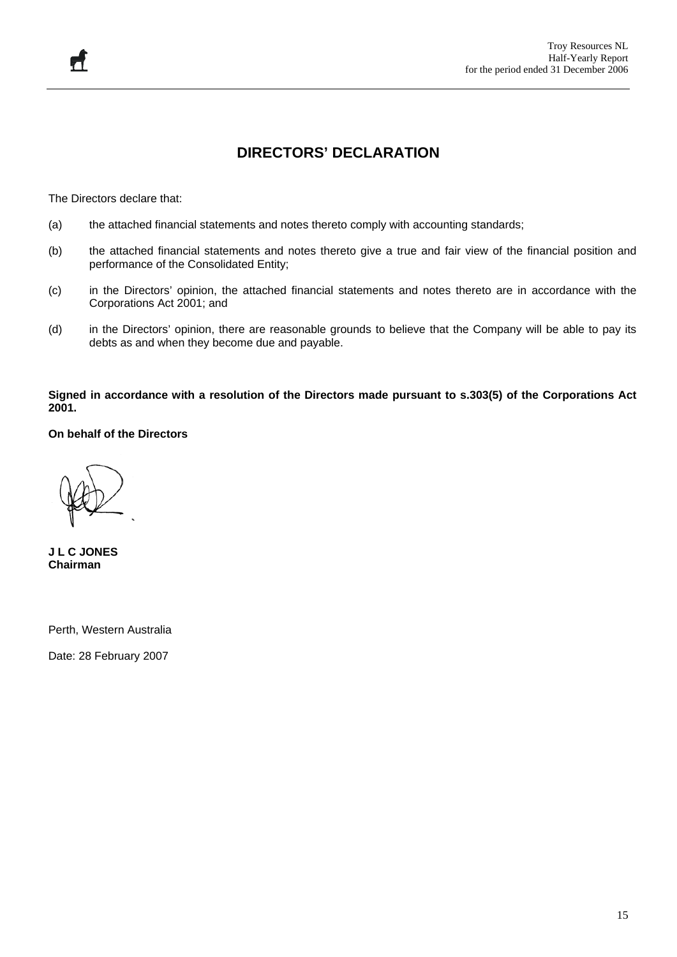# **DIRECTORS' DECLARATION**

The Directors declare that:

- (a) the attached financial statements and notes thereto comply with accounting standards;
- (b) the attached financial statements and notes thereto give a true and fair view of the financial position and performance of the Consolidated Entity;
- (c) in the Directors' opinion, the attached financial statements and notes thereto are in accordance with the Corporations Act 2001; and
- (d) in the Directors' opinion, there are reasonable grounds to believe that the Company will be able to pay its debts as and when they become due and payable.

**Signed in accordance with a resolution of the Directors made pursuant to s.303(5) of the Corporations Act 2001.** 

**On behalf of the Directors** 

**J L C JONES Chairman** 

Perth, Western Australia

Date: 28 February 2007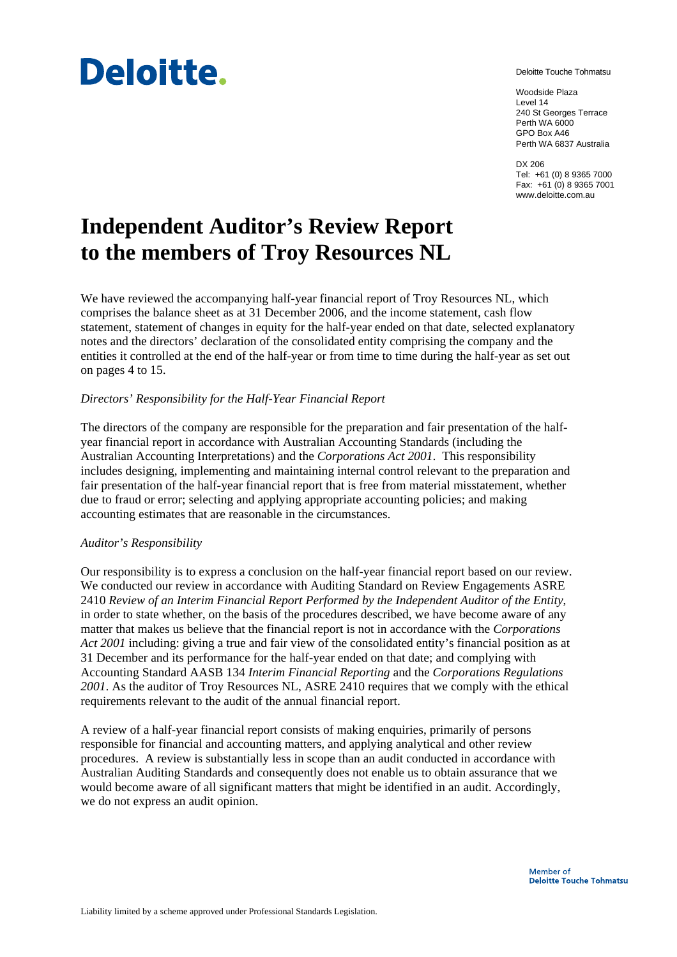# **Deloitte.**

Deloitte Touche Tohmatsu

Woodside Plaza Level 14 240 St Georges Terrace Perth WA 6000 GPO Box A46 Perth WA 6837 Australia

DX 206 Tel: +61 (0) 8 9365 7000 Fax: +61 (0) 8 9365 7001 www.deloitte.com.au

# **Independent Auditor's Review Report to the members of Troy Resources NL**

We have reviewed the accompanying half-year financial report of Troy Resources NL, which comprises the balance sheet as at 31 December 2006, and the income statement, cash flow statement, statement of changes in equity for the half-year ended on that date, selected explanatory notes and the directors' declaration of the consolidated entity comprising the company and the entities it controlled at the end of the half-year or from time to time during the half-year as set out on pages 4 to 15.

### *Directors' Responsibility for the Half-Year Financial Report*

The directors of the company are responsible for the preparation and fair presentation of the halfyear financial report in accordance with Australian Accounting Standards (including the Australian Accounting Interpretations) and the *Corporations Act 2001*. This responsibility includes designing, implementing and maintaining internal control relevant to the preparation and fair presentation of the half-year financial report that is free from material misstatement, whether due to fraud or error; selecting and applying appropriate accounting policies; and making accounting estimates that are reasonable in the circumstances.

#### *Auditor's Responsibility*

Our responsibility is to express a conclusion on the half-year financial report based on our review. We conducted our review in accordance with Auditing Standard on Review Engagements ASRE 2410 *Review of an Interim Financial Report Performed by the Independent Auditor of the Entity*, in order to state whether, on the basis of the procedures described, we have become aware of any matter that makes us believe that the financial report is not in accordance with the *Corporations Act 2001* including: giving a true and fair view of the consolidated entity's financial position as at 31 December and its performance for the half-year ended on that date; and complying with Accounting Standard AASB 134 *Interim Financial Reporting* and the *Corporations Regulations 2001*. As the auditor of Troy Resources NL, ASRE 2410 requires that we comply with the ethical requirements relevant to the audit of the annual financial report.

A review of a half-year financial report consists of making enquiries, primarily of persons responsible for financial and accounting matters, and applying analytical and other review procedures. A review is substantially less in scope than an audit conducted in accordance with Australian Auditing Standards and consequently does not enable us to obtain assurance that we would become aware of all significant matters that might be identified in an audit. Accordingly, we do not express an audit opinion.